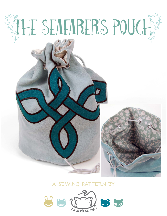# LE SEAFARER'S POUCH

# **a sewing pattern by**

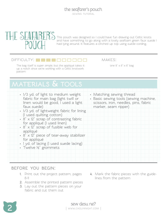#### the seafarer's pouch sewing tutorial



This pouch was designed so I could have fun drawing out Celtic knots and have something to go along with a lovely seafoam green faux suede I had lying around. It features a cinched up top using suede cording.

### $D$ ifficulty:  $\Box$  $\Box$  $\Box$

The bag itself is super simple, but the appliqué takes it  $one 9'' \times 6'' \times 6''$  bag up a notch since we're working with a Celtic knotwork pattern

makes:

# **materials & tools**

| • 1/3 yd. of light to medium weight<br>fabric for main bag (light twill or<br>linen would be good, I used a light<br>faux suede)<br>· 1/3 yd. of lightweight fabric for lining<br>(I used quilting cotton)<br>$\cdot$ 8" x 12" scrap of contrasting fabric<br>for appliqué (I used linen)<br>$\cdot$ 8" $\times$ 12" scrap of fusible web for<br>appliqué | • Matching sewing thread<br>· Basic sewing tools (sewing machine,<br>scissors, iron, needles, pins, fabric<br>marker, seam ripper) |
|-----------------------------------------------------------------------------------------------------------------------------------------------------------------------------------------------------------------------------------------------------------------------------------------------------------------------------------------------------------|------------------------------------------------------------------------------------------------------------------------------------|
| • 8" x 12" piece of tear-away stabilizer<br>for appliqué                                                                                                                                                                                                                                                                                                  |                                                                                                                                    |
| • 1 yd. of lacing (I used suede lacing)<br>· Twelve 1/2" grommets                                                                                                                                                                                                                                                                                         |                                                                                                                                    |

## **before you begin:**

- **1.** Print out the project pattern, pages 6-11
- **2.** Assemble the printed pattern pieces
- **3.** Lay out the pattern pieces on your fabric and cut them out
- **4.** Mark the fabric pieces with the guidelines from the pattern

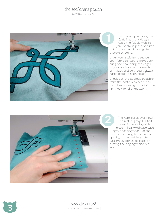## the seafarer's pouch

.<br>SEWING TUTORIAL



First we're appliquéing the Celtic knotwork design. Apply the fusible web to your appliqué piece and iron it to your bag following the pattern guideline.

Layer your stabilizer beneath your fabric to keep it from puck ering and sew along the edges of your appliqué with a medi um-width and very short zigzag stitch (called a satin stitch).

Check out the appliqué guideline from the pattern to see where your lines should go to attain the right look for the knotwork.



The hard part's over now! The rest is gravy :D Start by sewing your bag sides piece in half widthwise with right sides together. Repeat this for the lining, but leave an opening in the middle as the pattern guidelines indicate for turning the bag right side out later.

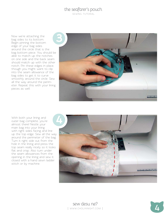## the seafarer's pouch

sewing tutorial

Now we're attaching the bag sides to its bottom. Begin pinning the bottom edge of your bag sides around the circle that is the bag bottom piece. You should be able to match up the notches on one side and the back seam should match up with the other notch. Pin these edges in place, though you might want to clip into the seam allowance of the bag sides to get it to curve smoothly around the circle. Sew all the way around the perimeter. Repeat this with your lining pieces as well.



With both your lining and outer bag complete, you're almost there! Nestle your main bag into your lining with right sides facing and line up the top edge. Sew all the way around the perimeter of the bag. Turn it right side out from the hole in the lining and press the top seam really nicely so it looks flat and crisp. Also turn under the seam allowances from the opening in the lining and sew it closed with a hand sewn ladder stitch or by machine.



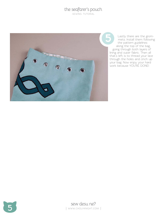# the seafarer's pouch

sewing tutorial



Lastly there are the grommets. Install them following the pattern guidelines along the top of the bag, going through both layers of lining and outer fabric. Then all that's left is to thread your lace through the holes and cinch up your bag. Now enjoy your hard work because YOU'RE DONE!

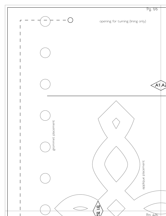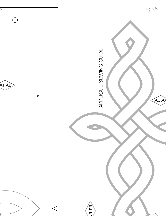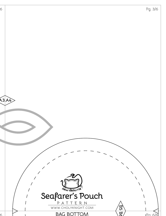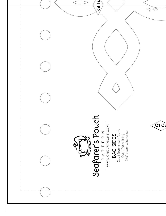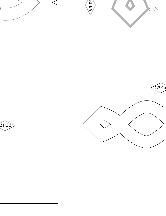